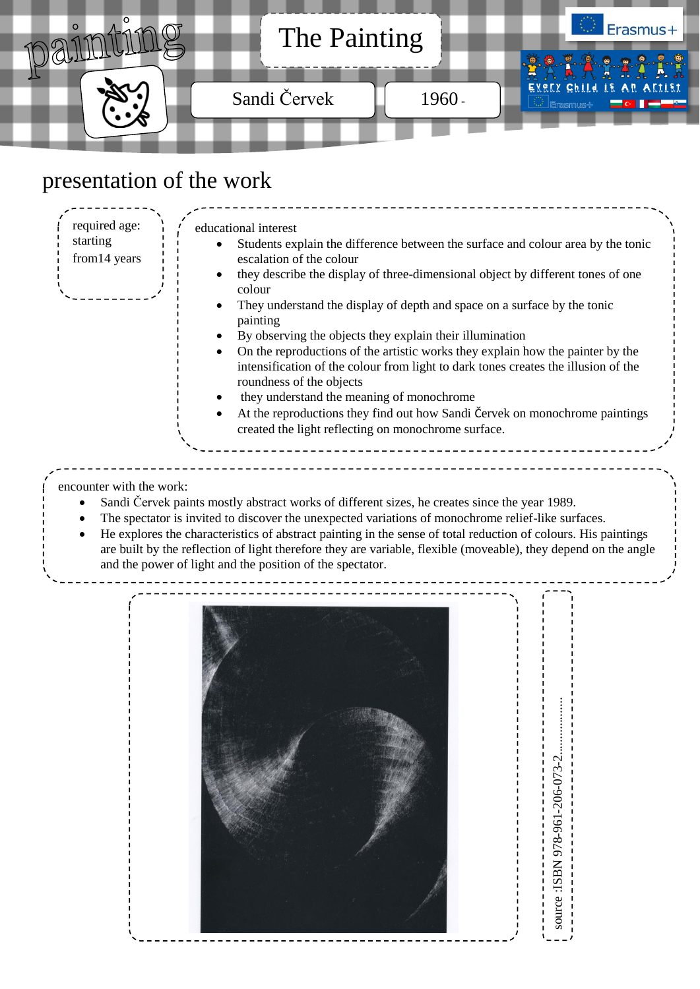

## presentation of the work

educational interest Students explain the difference between the surface and colour area by the tonic escalation of the colour they describe the display of three-dimensional object by different tones of one colour They understand the display of depth and space on a surface by the tonic painting By observing the objects they explain their illumination On the reproductions of the artistic works they explain how the painter by the intensification of the colour from light to dark tones creates the illusion of the roundness of the objects they understand the meaning of monochrome At the reproductions they find out how Sandi Červek on monochrome paintings created the light reflecting on monochrome surface. required age: starting from14 years

encounter with the work:

- Sandi Červek paints mostly abstract works of different sizes, he creates since the year 1989.
- The spectator is invited to discover the unexpected variations of monochrome relief-like surfaces.
- He explores the characteristics of abstract painting in the sense of total reduction of colours. His paintings are built by the reflection of light therefore they are variable, flexible (moveable), they depend on the angle and the power of light and the position of the spectator.

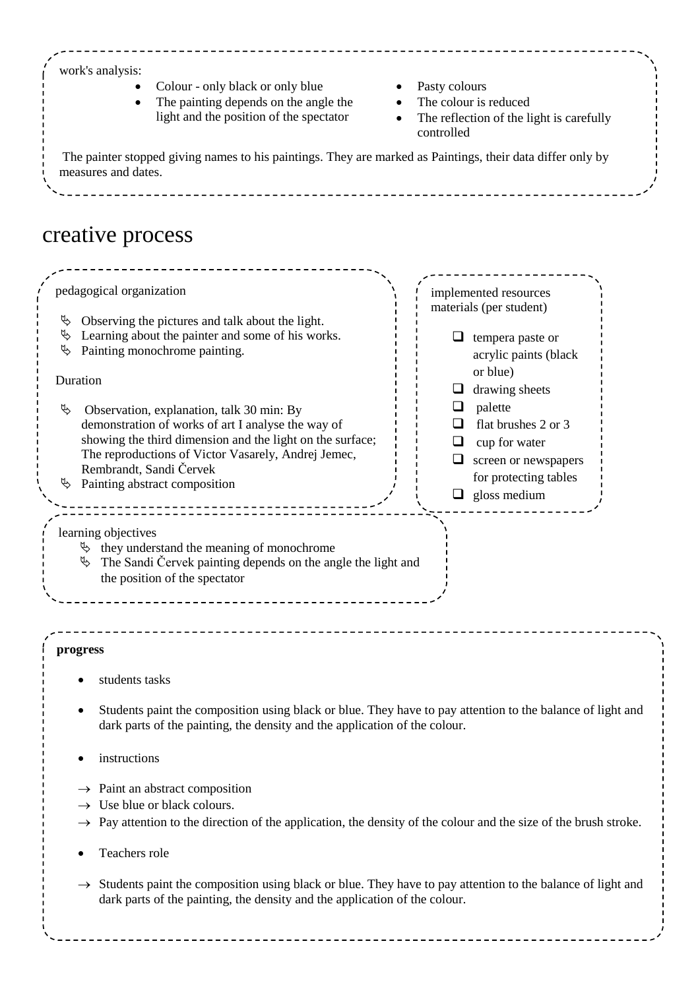## work's analysis:

- Colour only black or only blue Pasty colours
- The painting depends on the angle the light and the position of the spectator
- 
- The colour is reduced
- The reflection of the light is carefully controlled

The painter stopped giving names to his paintings. They are marked as Paintings, their data differ only by measures and dates.

## creative process

| pedagogical organization                                                                                                                                                                                                                                                                  | implemented resources<br>materials (per student)                                                                                          |  |
|-------------------------------------------------------------------------------------------------------------------------------------------------------------------------------------------------------------------------------------------------------------------------------------------|-------------------------------------------------------------------------------------------------------------------------------------------|--|
| Observing the pictures and talk about the light.<br>Ψ<br>Learning about the painter and some of his works.<br>₿<br>Painting monochrome painting.<br>₿                                                                                                                                     | □<br>tempera paste or<br>acrylic paints (black                                                                                            |  |
| Duration                                                                                                                                                                                                                                                                                  | or blue)<br>drawing sheets<br>$\Box$                                                                                                      |  |
| Ъ<br>Observation, explanation, talk 30 min: By<br>demonstration of works of art I analyse the way of<br>showing the third dimension and the light on the surface;<br>The reproductions of Victor Vasarely, Andrej Jemec,<br>Rembrandt, Sandi Červek<br>Painting abstract composition<br>₿ | palette<br>⊔<br>flat brushes 2 or 3<br>ப<br>cup for water<br>ப<br>screen or newspapers<br>⊔<br>for protecting tables<br>gloss medium<br>u |  |
| learning objectives<br>$\upphi$ they understand the meaning of monochrome<br>$\%$ The Sandi Červek painting depends on the angle the light and<br>the position of the spectator                                                                                                           |                                                                                                                                           |  |
| progress                                                                                                                                                                                                                                                                                  |                                                                                                                                           |  |
| students tasks                                                                                                                                                                                                                                                                            |                                                                                                                                           |  |
| Students paint the composition using black or blue. They have to pay attention to the balance of light and<br>dark parts of the painting, the density and the application of the colour.                                                                                                  |                                                                                                                                           |  |
| instructions                                                                                                                                                                                                                                                                              |                                                                                                                                           |  |
| $\rightarrow$ Paint an abstract composition<br>$\rightarrow$ Use blue or black colours.<br>$\rightarrow$ Pay attention to the direction of the application, the density of the colour and the size of the brush stroke.                                                                   |                                                                                                                                           |  |
| Teachers role<br>٠                                                                                                                                                                                                                                                                        |                                                                                                                                           |  |
| $\rightarrow$ Students paint the composition using black or blue. They have to pay attention to the balance of light and<br>dark parts of the painting, the density and the application of the colour.                                                                                    |                                                                                                                                           |  |